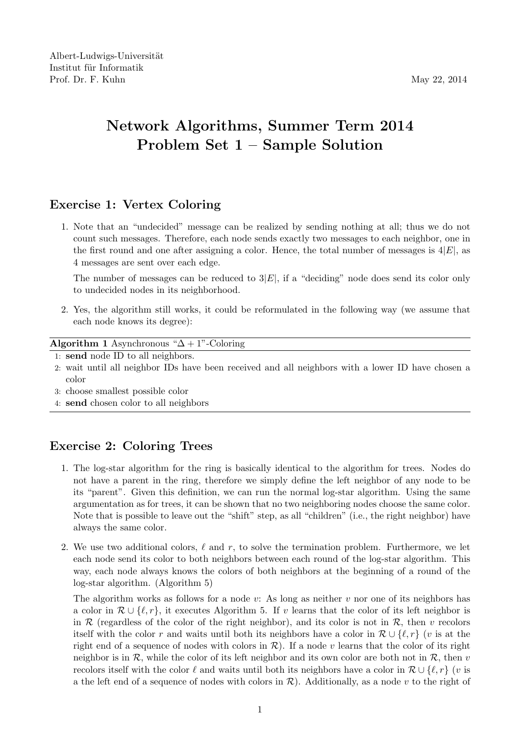## Network Algorithms, Summer Term 2014 Problem Set 1 – Sample Solution

## Exercise 1: Vertex Coloring

1. Note that an "undecided" message can be realized by sending nothing at all; thus we do not count such messages. Therefore, each node sends exactly two messages to each neighbor, one in the first round and one after assigning a color. Hence, the total number of messages is  $4|E|$ , as 4 messages are sent over each edge.

The number of messages can be reduced to  $3|E|$ , if a "deciding" node does send its color only to undecided nodes in its neighborhood.

2. Yes, the algorithm still works, it could be reformulated in the following way (we assume that each node knows its degree):

Algorithm 1 Asynchronous " $\Delta + 1$ "-Coloring

- 1: send node ID to all neighbors.
- 2: wait until all neighbor IDs have been received and all neighbors with a lower ID have chosen a color
- 3: choose smallest possible color
- 4: send chosen color to all neighbors

## Exercise 2: Coloring Trees

- 1. The log-star algorithm for the ring is basically identical to the algorithm for trees. Nodes do not have a parent in the ring, therefore we simply define the left neighbor of any node to be its "parent". Given this definition, we can run the normal log-star algorithm. Using the same argumentation as for trees, it can be shown that no two neighboring nodes choose the same color. Note that is possible to leave out the "shift" step, as all "children" (i.e., the right neighbor) have always the same color.
- 2. We use two additional colors,  $\ell$  and r, to solve the termination problem. Furthermore, we let each node send its color to both neighbors between each round of the log-star algorithm. This way, each node always knows the colors of both neighbors at the beginning of a round of the log-star algorithm. (Algorithm 5)

The algorithm works as follows for a node v: As long as neither v nor one of its neighbors has a color in  $\mathcal{R} \cup \{\ell, r\}$ , it executes Algorithm 5. If v learns that the color of its left neighbor is in  $\mathcal R$  (regardless of the color of the right neighbor), and its color is not in  $\mathcal R$ , then v recolors itself with the color r and waits until both its neighbors have a color in  $\mathcal{R} \cup \{ \ell, r \}$  (v is at the right end of a sequence of nodes with colors in  $\mathcal{R}$ ). If a node v learns that the color of its right neighbor is in  $\mathcal{R}$ , while the color of its left neighbor and its own color are both not in  $\mathcal{R}$ , then v recolors itself with the color  $\ell$  and waits until both its neighbors have a color in  $\mathcal{R} \cup \{\ell, r\}$  (v is a the left end of a sequence of nodes with colors in  $\mathcal{R}$ ). Additionally, as a node v to the right of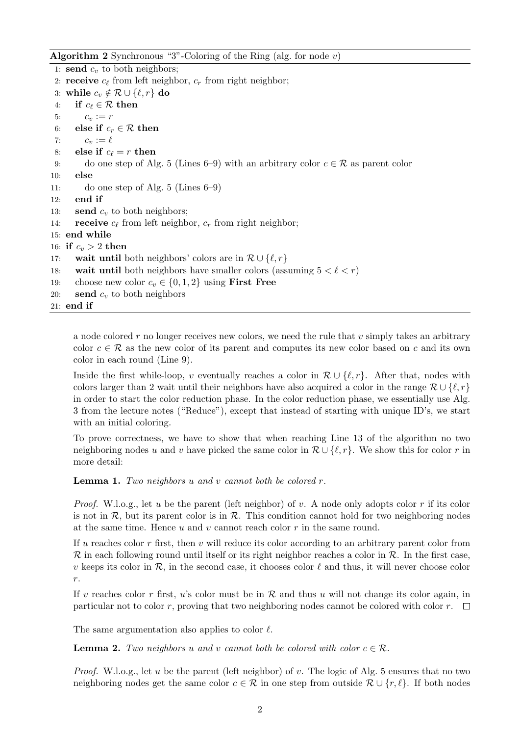**Algorithm 2** Synchronous "3"-Coloring of the Ring (alg. for node v)

1: send  $c_v$  to both neighbors; 2: **receive**  $c_{\ell}$  from left neighbor,  $c_r$  from right neighbor; 3: while  $c_v \notin \mathcal{R} \cup \{\ell, r\}$  do 4: if  $c_\ell \in \mathcal{R}$  then 5:  $c_v := r$ 6: else if  $c_r \in \mathcal{R}$  then 7:  $c_v := \ell$ 8: else if  $c_\ell = r$  then 9: do one step of Alg. 5 (Lines 6–9) with an arbitrary color  $c \in \mathcal{R}$  as parent color 10: else 11: do one step of Alg. 5 (Lines 6–9) 12: end if 13: **send**  $c_v$  to both neighbors; 14: **receive**  $c_{\ell}$  from left neighbor,  $c_r$  from right neighbor; 15: end while 16: if  $c_v > 2$  then 17: **wait until** both neighbors' colors are in  $\mathcal{R} \cup \{ \ell, r \}$ 18: wait until both neighbors have smaller colors (assuming  $5 < \ell < r$ ) 19: choose new color  $c_v \in \{0, 1, 2\}$  using **First Free** 20: **send**  $c_v$  to both neighbors 21: end if

a node colored  $r$  no longer receives new colors, we need the rule that  $v$  simply takes an arbitrary color  $c \in \mathcal{R}$  as the new color of its parent and computes its new color based on c and its own color in each round (Line 9).

Inside the first while-loop, v eventually reaches a color in  $\mathcal{R} \cup \{ \ell, r \}$ . After that, nodes with colors larger than 2 wait until their neighbors have also acquired a color in the range  $\mathcal{R} \cup \{\ell, r\}$ in order to start the color reduction phase. In the color reduction phase, we essentially use Alg. 3 from the lecture notes ("Reduce"), except that instead of starting with unique ID's, we start with an initial coloring.

To prove correctness, we have to show that when reaching Line 13 of the algorithm no two neighboring nodes u and v have picked the same color in  $\mathcal{R} \cup \{\ell, r\}$ . We show this for color r in more detail:

**Lemma 1.** Two neighbors u and v cannot both be colored  $r$ .

*Proof.* W.l.o.g., let u be the parent (left neighbor) of v. A node only adopts color r if its color is not in  $\mathcal{R}$ , but its parent color is in  $\mathcal{R}$ . This condition cannot hold for two neighboring nodes at the same time. Hence  $u$  and  $v$  cannot reach color  $r$  in the same round.

If u reaches color r first, then v will reduce its color according to an arbitrary parent color from  $\mathcal R$  in each following round until itself or its right neighbor reaches a color in  $\mathcal R$ . In the first case, v keeps its color in  $\mathcal{R}$ , in the second case, it chooses color  $\ell$  and thus, it will never choose color r.

If v reaches color r first, u's color must be in  $R$  and thus u will not change its color again, in particular not to color r, proving that two neighboring nodes cannot be colored with color  $r$ .  $\Box$ 

The same argumentation also applies to color  $\ell$ .

**Lemma 2.** Two neighbors u and v cannot both be colored with color  $c \in \mathcal{R}$ .

*Proof.* W.l.o.g., let u be the parent (left neighbor) of v. The logic of Alg. 5 ensures that no two neighboring nodes get the same color  $c \in \mathcal{R}$  in one step from outside  $\mathcal{R} \cup \{r, \ell\}$ . If both nodes